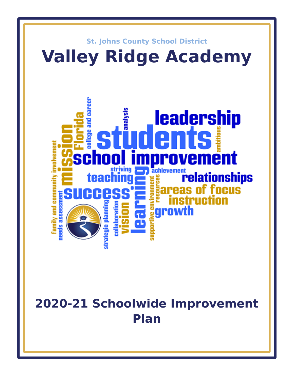

# **2020-21 Schoolwide Improvement Plan**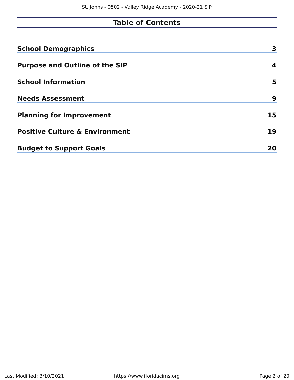## **Table of Contents**

| <b>School Demographics</b>                | 3  |
|-------------------------------------------|----|
| <b>Purpose and Outline of the SIP</b>     | 4  |
| <b>School Information</b>                 | 5  |
| <b>Needs Assessment</b>                   | 9  |
| <b>Planning for Improvement</b>           | 15 |
| <b>Positive Culture &amp; Environment</b> | 19 |
| <b>Budget to Support Goals</b>            | 20 |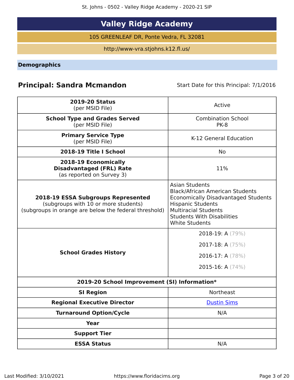## **Valley Ridge Academy**

105 GREENLEAF DR, Ponte Vedra, FL 32081

http://www-vra.stjohns.k12.fl.us/

<span id="page-2-0"></span>**Demographics**

## **Principal: Sandra Mcmandon** Start Date for this Principal: 7/1/2016

| <b>2019-20 Status</b><br>(per MSID File)                                                                                            | Active                                                                                                                                                                                                                                 |
|-------------------------------------------------------------------------------------------------------------------------------------|----------------------------------------------------------------------------------------------------------------------------------------------------------------------------------------------------------------------------------------|
| <b>School Type and Grades Served</b><br>(per MSID File)                                                                             | <b>Combination School</b><br><b>PK-8</b>                                                                                                                                                                                               |
| <b>Primary Service Type</b><br>(per MSID File)                                                                                      | K-12 General Education                                                                                                                                                                                                                 |
| 2018-19 Title I School                                                                                                              | No                                                                                                                                                                                                                                     |
| 2018-19 Economically<br><b>Disadvantaged (FRL) Rate</b><br>(as reported on Survey 3)                                                | 11%                                                                                                                                                                                                                                    |
| 2018-19 ESSA Subgroups Represented<br>(subgroups with 10 or more students)<br>(subgroups in orange are below the federal threshold) | <b>Asian Students</b><br><b>Black/African American Students</b><br><b>Economically Disadvantaged Students</b><br><b>Hispanic Students</b><br><b>Multiracial Students</b><br><b>Students With Disabilities</b><br><b>White Students</b> |
| <b>School Grades History</b>                                                                                                        | 2018-19: A (79%)<br>2017-18: A $(75%)$<br>2016-17: A $(78%)$<br>2015-16: A $(74%)$                                                                                                                                                     |
| 2019-20 School Improvement (SI) Information*                                                                                        |                                                                                                                                                                                                                                        |
| <b>SI Region</b>                                                                                                                    | <b>Northeast</b>                                                                                                                                                                                                                       |
| <b>Regional Executive Director</b>                                                                                                  | <b>Dustin Sims</b>                                                                                                                                                                                                                     |
| <b>Turnaround Option/Cycle</b>                                                                                                      | N/A                                                                                                                                                                                                                                    |
| <b>Year</b>                                                                                                                         |                                                                                                                                                                                                                                        |
| <b>Support Tier</b>                                                                                                                 |                                                                                                                                                                                                                                        |
| <b>ESSA Status</b>                                                                                                                  | N/A                                                                                                                                                                                                                                    |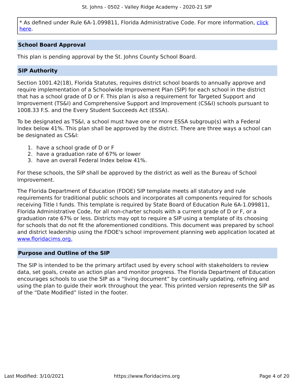\* As defined under Rule 6A-1.099811, Florida Administrative Code. For more information, [click](/downloads?category=da-forms) [here](/downloads?category=da-forms).

#### **School Board Approval**

This plan is pending approval by the St. Johns County School Board.

#### **SIP Authority**

Section 1001.42(18), Florida Statutes, requires district school boards to annually approve and require implementation of a Schoolwide Improvement Plan (SIP) for each school in the district that has a school grade of D or F. This plan is also a requirement for Targeted Support and Improvement (TS&I) and Comprehensive Support and Improvement (CS&I) schools pursuant to 1008.33 F.S. and the Every Student Succeeds Act (ESSA).

To be designated as TS&I, a school must have one or more ESSA subgroup(s) with a Federal Index below 41%. This plan shall be approved by the district. There are three ways a school can be designated as CS&I:

- 1. have a school grade of D or F
- 2. have a graduation rate of 67% or lower
- 3. have an overall Federal Index below 41%.

For these schools, the SIP shall be approved by the district as well as the Bureau of School Improvement.

The Florida Department of Education (FDOE) SIP template meets all statutory and rule requirements for traditional public schools and incorporates all components required for schools receiving Title I funds. This template is required by State Board of Education Rule 6A-1.099811, Florida Administrative Code, for all non-charter schools with a current grade of D or F, or a graduation rate 67% or less. Districts may opt to require a SIP using a template of its choosing for schools that do not fit the aforementioned conditions. This document was prepared by school and district leadership using the FDOE's school improvement planning web application located at [www.floridacims.org.](https://www.floridacims.org)

#### <span id="page-3-0"></span>**Purpose and Outline of the SIP**

The SIP is intended to be the primary artifact used by every school with stakeholders to review data, set goals, create an action plan and monitor progress. The Florida Department of Education encourages schools to use the SIP as a "living document" by continually updating, refining and using the plan to guide their work throughout the year. This printed version represents the SIP as of the "Date Modified" listed in the footer.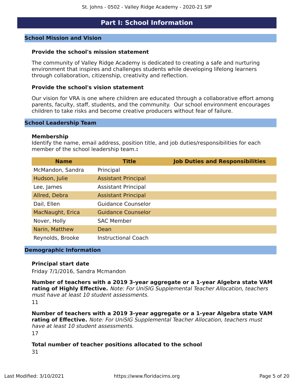### **Part I: School Information**

#### <span id="page-4-0"></span>**School Mission and Vision**

#### **Provide the school's mission statement**

The community of Valley Ridge Academy is dedicated to creating a safe and nurturing environment that inspires and challenges students while developing lifelong learners through collaboration, citizenship, creativity and reflection.

#### **Provide the school's vision statement**

Our vision for VRA is one where children are educated through a collaborative effort among parents, faculty, staff, students, and the community. Our school environment encourages children to take risks and become creative producers without fear of failure.

#### **School Leadership Team**

#### **Membership**

Identify the name, email address, position title, and job duties/responsibilities for each member of the school leadership team.**:**

| <b>Name</b>      | <b>Title</b>               | <b>Job Duties and Responsibilities</b> |
|------------------|----------------------------|----------------------------------------|
| McMandon, Sandra | Principal                  |                                        |
| Hudson, Julie    | <b>Assistant Principal</b> |                                        |
| Lee, James       | <b>Assistant Principal</b> |                                        |
| Allred, Debra    | <b>Assistant Principal</b> |                                        |
| Dail, Ellen      | <b>Guidance Counselor</b>  |                                        |
| MacNaught, Erica | <b>Guidance Counselor</b>  |                                        |
| Nover, Holly     | <b>SAC Member</b>          |                                        |
| Narin, Matthew   | Dean                       |                                        |
| Reynolds, Brooke | <b>Instructional Coach</b> |                                        |

#### **Demographic Information**

#### **Principal start date**

Friday 7/1/2016, Sandra Mcmandon

**Number of teachers with a 2019 3-year aggregate or a 1-year Algebra state VAM rating of Highly Effective.** Note: For UniSIG Supplemental Teacher Allocation, teachers must have at least 10 student assessments. 11

**Number of teachers with a 2019 3-year aggregate or a 1-year Algebra state VAM rating of Effective.** Note: For UniSIG Supplemental Teacher Allocation, teachers must have at least 10 student assessments. 17

#### **Total number of teacher positions allocated to the school** 31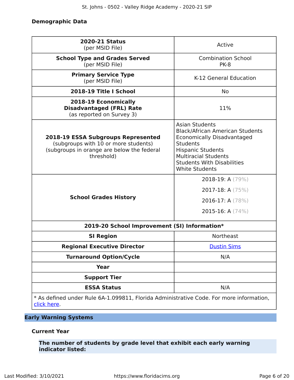#### **Demographic Data**

| <b>2020-21 Status</b><br>(per MSID File)                                                                                                      | Active                                                                                                                                                                                                                                           |
|-----------------------------------------------------------------------------------------------------------------------------------------------|--------------------------------------------------------------------------------------------------------------------------------------------------------------------------------------------------------------------------------------------------|
| <b>School Type and Grades Served</b><br>(per MSID File)                                                                                       | <b>Combination School</b><br><b>PK-8</b>                                                                                                                                                                                                         |
| <b>Primary Service Type</b><br>(per MSID File)                                                                                                | K-12 General Education                                                                                                                                                                                                                           |
| 2018-19 Title I School                                                                                                                        | <b>No</b>                                                                                                                                                                                                                                        |
| 2018-19 Economically<br><b>Disadvantaged (FRL) Rate</b><br>(as reported on Survey 3)                                                          | 11%                                                                                                                                                                                                                                              |
| <b>2018-19 ESSA Subgroups Represented</b><br>(subgroups with 10 or more students)<br>(subgroups in orange are below the federal<br>threshold) | <b>Asian Students</b><br><b>Black/African American Students</b><br><b>Economically Disadvantaged</b><br><b>Students</b><br><b>Hispanic Students</b><br><b>Multiracial Students</b><br><b>Students With Disabilities</b><br><b>White Students</b> |
| <b>School Grades History</b>                                                                                                                  | 2018-19: A $(79\%)$<br>2017-18: A $(75%)$<br>2016-17: A $(78%)$<br>2015-16: A $(74%)$                                                                                                                                                            |
| 2019-20 School Improvement (SI) Information*                                                                                                  |                                                                                                                                                                                                                                                  |
| <b>SI Region</b>                                                                                                                              | <b>Northeast</b>                                                                                                                                                                                                                                 |
| <b>Regional Executive Director</b>                                                                                                            | <b>Dustin Sims</b>                                                                                                                                                                                                                               |
| <b>Turnaround Option/Cycle</b>                                                                                                                | N/A                                                                                                                                                                                                                                              |
| Year                                                                                                                                          |                                                                                                                                                                                                                                                  |
| <b>Support Tier</b>                                                                                                                           |                                                                                                                                                                                                                                                  |
| <b>ESSA Status</b>                                                                                                                            | N/A                                                                                                                                                                                                                                              |
| * As defined under Rule 6A-1.099811, Florida Administrative Code. For more information,<br>click here.                                        |                                                                                                                                                                                                                                                  |

#### **Early Warning Systems**

#### **Current Year**

**The number of students by grade level that exhibit each early warning indicator listed:**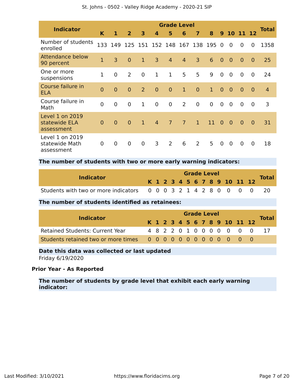| <b>Indicator</b>                                | <b>Grade Level</b> |                |                |                |                  |                |                |                |                |                |                |                |                |                |
|-------------------------------------------------|--------------------|----------------|----------------|----------------|------------------|----------------|----------------|----------------|----------------|----------------|----------------|----------------|----------------|----------------|
|                                                 | K                  | $\mathbf{1}$   | $\overline{2}$ | 3              | $\boldsymbol{4}$ | 5              | 6              | $\overline{7}$ | 8              | 9 <sup>°</sup> |                | 10 11 12       |                | <b>Total</b>   |
| Number of students<br>enrolled                  | 133                | 149            | 125            |                | 151 152 148      |                | 167 138        |                | 195            | $\Omega$       | $\overline{0}$ | $\overline{0}$ | 0              | 1358           |
| Attendance below<br>90 percent                  | $\overline{1}$     | 3              | $\overline{0}$ | $\mathbf{1}$   | 3                | $\overline{4}$ | $\overline{4}$ | 3              | 6              | $\overline{0}$ | $\overline{0}$ | $\overline{0}$ | $\overline{0}$ | 25             |
| One or more<br>suspensions                      | $\mathbf{1}$       | $\mathbf 0$    | $\overline{2}$ | $\overline{0}$ | $\mathbf{1}$     | $\mathbf 1$    | 5              | 5              | 9              | $\overline{0}$ | $\mathbf 0$    | $\overline{0}$ | $\mathbf 0$    | 24             |
| Course failure in<br><b>ELA</b>                 | $\overline{0}$     | $\overline{0}$ | $\overline{0}$ | 2              | $\overline{0}$   | $\overline{0}$ | $\mathbf{1}$   | $\overline{0}$ | $\mathbf{1}$   | $\overline{0}$ | $\overline{0}$ | $\Omega$       | $\overline{0}$ | $\overline{4}$ |
| Course failure in<br>Math                       | $\overline{0}$     | $\mathbf 0$    | $\overline{0}$ | $\mathbf{1}$   | $\overline{0}$   | $\overline{0}$ | 2              | $\overline{0}$ | $\overline{0}$ | $\overline{0}$ | $\overline{0}$ | $\mathbf 0$    | $\overline{0}$ | 3              |
| Level 1 on 2019<br>statewide ELA<br>assessment  | $\overline{0}$     | $\overline{0}$ | $\overline{0}$ | $\mathbf{1}$   | $\overline{4}$   | $\overline{7}$ | $\overline{7}$ | $\mathbf{1}$   | 11             | $\Omega$       | $\overline{0}$ | $\mathbf{0}$   | $\overline{0}$ | 31             |
| Level 1 on 2019<br>statewide Math<br>assessment | $\overline{0}$     | $\mathbf 0$    | $\mathbf 0$    | $\mathbf 0$    | 3                | 2              | 6              | 2              | 5              | $\overline{0}$ | $\overline{0}$ | $\mathbf 0$    | $\overline{0}$ | 18             |

#### **The number of students with two or more early warning indicators:**

| <b>Indicator</b>                                                  |  |  |  | <b>Grade Level</b> |  |                              |  | <b>Total</b> |
|-------------------------------------------------------------------|--|--|--|--------------------|--|------------------------------|--|--------------|
|                                                                   |  |  |  |                    |  | K 1 2 3 4 5 6 7 8 9 10 11 12 |  |              |
| Students with two or more indicators 0 0 0 3 2 1 4 2 8 0 0 0 0 20 |  |  |  |                    |  |                              |  |              |

#### **The number of students identified as retainees:**

|                                        |  |  |  | <b>Grade Level</b> |  |  |                              |              |
|----------------------------------------|--|--|--|--------------------|--|--|------------------------------|--------------|
| <b>Indicator</b>                       |  |  |  |                    |  |  | K 1 2 3 4 5 6 7 8 9 10 11 12 | <b>Total</b> |
| <b>Retained Students: Current Year</b> |  |  |  |                    |  |  | 4 8 2 2 0 1 0 0 0 0 0 0 0    |              |
|                                        |  |  |  |                    |  |  |                              |              |

#### **Date this data was collected or last updated**

Friday 6/19/2020

#### **Prior Year - As Reported**

**The number of students by grade level that exhibit each early warning indicator:**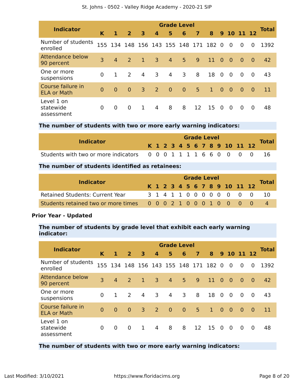|  | St. Johns - 0502 - Valley Ridge Academy - 2020-21 SIP |  |  |
|--|-------------------------------------------------------|--|--|
|--|-------------------------------------------------------|--|--|

| <b>Indicator</b>                        | <b>Grade Level</b> |                |                |                                     |                         |                                 |                |                |              |                |                |                |                |              |
|-----------------------------------------|--------------------|----------------|----------------|-------------------------------------|-------------------------|---------------------------------|----------------|----------------|--------------|----------------|----------------|----------------|----------------|--------------|
|                                         | K                  | 1              | $\overline{2}$ | $\overline{\mathbf{3}}$             | $\overline{\mathbf{4}}$ | 5                               | 6              | $\overline{7}$ | 8            |                | 9 10 11 12     |                |                | <b>Total</b> |
| Number of students<br>enrolled          |                    |                |                |                                     |                         | 155 134 148 156 143 155 148 171 |                |                | 182          | $\overline{0}$ | $\overline{0}$ | $\Omega$       | 0              | 1392         |
| Attendance below<br>90 percent          | 3                  | $\overline{4}$ | 2              | $\blacktriangle \blacktriangledown$ | $\overline{3}$          | $\overline{4}$                  | 5 <sup>1</sup> | 9              | 11           | $\overline{0}$ | $\bullet$      | $\overline{0}$ | $\overline{0}$ | 42           |
| One or more<br>suspensions              | $\overline{0}$     | $\mathbf{1}$   | 2              | 4                                   | 3                       | 4                               | 3              | 8              | 18           | $\overline{0}$ | $\overline{0}$ | $\overline{0}$ | $\Omega$       | 43           |
| Course failure in<br><b>ELA or Math</b> | $\Omega$           | $\Omega$       | $\overline{0}$ | $\overline{3}$                      | 2                       | $\overline{0}$                  | $\mathbf{0}$   | 5 <sup>5</sup> | $\mathbf{1}$ | $\overline{0}$ | $\bullet$      | $\overline{0}$ | $\Omega$       | 11           |
| Level 1 on<br>statewide<br>assessment   | 0                  | 0              | $\overline{0}$ | $\mathbf{1}$                        | $\overline{4}$          | 8                               | 8              | 12             | 15           | $\Omega$       | $\overline{0}$ | $\Omega$       | 0              | 48           |

#### **The number of students with two or more early warning indicators:**

| <b>Indicator</b>                                                 |  |  |  | <b>Grade Level</b> |  |  |                              | <b>Total</b> |
|------------------------------------------------------------------|--|--|--|--------------------|--|--|------------------------------|--------------|
|                                                                  |  |  |  |                    |  |  | K 1 2 3 4 5 6 7 8 9 10 11 12 |              |
| Students with two or more indicators 0 0 0 1 1 1 1 6 6 0 0 0 0 0 |  |  |  |                    |  |  |                              |              |

#### **The number of students identified as retainees:**

|                                                                 |  |  |  | <b>Grade Level</b> |  |  |                              |              |
|-----------------------------------------------------------------|--|--|--|--------------------|--|--|------------------------------|--------------|
| <b>Indicator</b>                                                |  |  |  |                    |  |  | K 1 2 3 4 5 6 7 8 9 10 11 12 | <b>Total</b> |
| <b>Retained Students: Current Year</b>                          |  |  |  |                    |  |  | 3 1 4 1 1 0 0 0 0 0 0 0 0    | -10          |
| Students retained two or more times 0 0 0 2 1 0 0 0 1 0 0 0 0 0 |  |  |  |                    |  |  |                              |              |

#### **Prior Year - Updated**

#### **The number of students by grade level that exhibit each early warning indicator:**

| <b>Indicator</b>                        | <b>Grade Level</b> |                |                |                         |                  |                |                |                |              |                |                 |                |                |              |
|-----------------------------------------|--------------------|----------------|----------------|-------------------------|------------------|----------------|----------------|----------------|--------------|----------------|-----------------|----------------|----------------|--------------|
|                                         | K                  | 1              | 2 <sup>1</sup> | $\overline{\mathbf{3}}$ | $\boldsymbol{4}$ | 5              | 6              | $\overline{7}$ | 8            |                | 9 <sub>10</sub> | 11 12          |                | <b>Total</b> |
| Number of students<br>enrolled          |                    | 155 134        |                | 148 156 143 155 148 171 |                  |                |                |                | 182          | $\Omega$       | $\overline{0}$  | $\overline{0}$ | 0              | 1392         |
| <b>Attendance below</b><br>90 percent   | 3                  | $\overline{4}$ | 2              | $\mathbf{1}$            | $\overline{3}$   | $\overline{4}$ | 5 <sup>5</sup> | 9              | 11           | $\Omega$       | $\overline{0}$  | $\overline{0}$ | $\overline{0}$ | 42           |
| One or more<br>suspensions              | $\overline{0}$     | $\mathbf{1}$   | 2              | 4                       | 3                | $\overline{4}$ | 3              | 8              | 18           | $\overline{0}$ | $\overline{0}$  | $\overline{0}$ | $\overline{0}$ | 43           |
| Course failure in<br><b>ELA or Math</b> | $\Omega$           | $\Omega$       | $\overline{0}$ | $\overline{3}$          | 2                | $\overline{0}$ | $\overline{0}$ | 5 <sup>1</sup> | $\mathbf{1}$ | $\overline{0}$ | $\overline{0}$  | $\overline{0}$ | $\Omega$       | 11           |
| Level 1 on<br>statewide<br>assessment   | 0                  | $\Omega$       | $\overline{0}$ | $\mathbf{1}$            | $\overline{4}$   | 8              | 8              | 12             | 15           | $\Omega$       | $\overline{0}$  | 0              | 0              | 48           |

#### **The number of students with two or more early warning indicators:**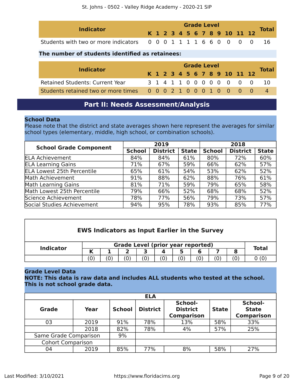| <b>Indicator</b>                                                 |  | <b>Grade Level</b> |  |  |  |  |  |  |  |  | <b>Total</b>                 |  |
|------------------------------------------------------------------|--|--------------------|--|--|--|--|--|--|--|--|------------------------------|--|
|                                                                  |  |                    |  |  |  |  |  |  |  |  | K 1 2 3 4 5 6 7 8 9 10 11 12 |  |
| Students with two or more indicators 0 0 0 1 1 1 1 6 6 0 0 0 0 0 |  |                    |  |  |  |  |  |  |  |  |                              |  |

#### **The number of students identified as retainees:**

| <b>Indicator</b>                                                |  | <b>Grade Level</b> |  |  |  |  |  |  |  |  |                              |                           |              |
|-----------------------------------------------------------------|--|--------------------|--|--|--|--|--|--|--|--|------------------------------|---------------------------|--------------|
|                                                                 |  |                    |  |  |  |  |  |  |  |  | K 1 2 3 4 5 6 7 8 9 10 11 12 |                           | <b>Total</b> |
| <b>Retained Students: Current Year</b>                          |  |                    |  |  |  |  |  |  |  |  |                              | 3 1 4 1 1 0 0 0 0 0 0 0 0 |              |
| Students retained two or more times 0 0 0 2 1 0 0 0 1 0 0 0 0 0 |  |                    |  |  |  |  |  |  |  |  |                              |                           |              |

## **Part II: Needs Assessment/Analysis**

#### <span id="page-8-0"></span>**School Data**

Please note that the district and state averages shown here represent the averages for similar school types (elementary, middle, high school, or combination schools).

| <b>School Grade Component</b>     |               | 2019            |              | 2018          |                 |              |  |
|-----------------------------------|---------------|-----------------|--------------|---------------|-----------------|--------------|--|
|                                   | <b>School</b> | <b>District</b> | <b>State</b> | <b>School</b> | <b>District</b> | <b>State</b> |  |
| <b>ELA Achievement</b>            | 84%           | 84%             | 61%          | 80%           | 72%             | 60%          |  |
| <b>ELA Learning Gains</b>         | 71%           | 67%             | 59%          | 66%           | 62%             | 57%          |  |
| <b>ELA Lowest 25th Percentile</b> | 65%           | 61%             | 54%          | 53%           | 62%             | 52%          |  |
| Math Achievement                  | 91%           | 88%             | 62%          | 88%           | 76%             | 61%          |  |
| <b>Math Learning Gains</b>        | 81%           | 71%             | 59%          | 79%           | 65%             | 58%          |  |
| Math Lowest 25th Percentile       | 79%           | 66%             | 52%          | 68%           | 68%             | 52%          |  |
| Science Achievement               | 78%           | 77%             | 56%          | 79%           | 73%             | 57%          |  |
| Social Studies Achievement        | 94%           | 95%             | 78%          | 93%           | 85%             | 77%          |  |

| <b>EWS Indicators as Input Earlier in the Survey</b> |        |  |    |     |  |                                          |     |  |     |              |
|------------------------------------------------------|--------|--|----|-----|--|------------------------------------------|-----|--|-----|--------------|
| <b>Indicator</b>                                     |        |  |    |     |  | <b>Grade Level (prior year reported)</b> |     |  |     | <b>Total</b> |
|                                                      | К<br>6 |  |    |     |  |                                          |     |  |     |              |
|                                                      | (0)    |  | 0) | (0) |  | (0)                                      | (0) |  | (0) | 0 (0         |

#### **Grade Level Data**

**NOTE: This data is raw data and includes ALL students who tested at the school. This is not school grade data.**

|                          |      |               | <b>ELA</b>      |                                                 |              |                                              |
|--------------------------|------|---------------|-----------------|-------------------------------------------------|--------------|----------------------------------------------|
| <b>Grade</b>             | Year | <b>School</b> | <b>District</b> | School-<br><b>District</b><br><b>Comparison</b> | <b>State</b> | School-<br><b>State</b><br><b>Comparison</b> |
| 03                       | 2019 | 91%           | 78%             | 13%                                             | 58%          | 33%                                          |
|                          | 2018 | 82%           | 78%             | 4%                                              | 57%          | 25%                                          |
| Same Grade Comparison    |      | 9%            |                 |                                                 |              |                                              |
| <b>Cohort Comparison</b> |      |               |                 |                                                 |              |                                              |
| 04                       | 2019 | 85%           | 77%             | 8%                                              | 58%          | 27%                                          |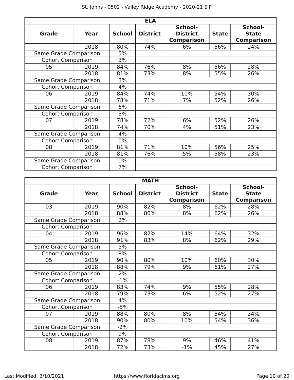|  | St. Johns - 0502 - Valley Ridge Academy - 2020-21 SIP |  |  |
|--|-------------------------------------------------------|--|--|
|--|-------------------------------------------------------|--|--|

|                          |                       |               | <b>ELA</b>      |                                                 |              |                                              |
|--------------------------|-----------------------|---------------|-----------------|-------------------------------------------------|--------------|----------------------------------------------|
| Grade                    | Year                  | <b>School</b> | <b>District</b> | School-<br><b>District</b><br><b>Comparison</b> | <b>State</b> | School-<br><b>State</b><br><b>Comparison</b> |
|                          | 2018                  | 80%           | 74%             | 6%                                              | 56%          | 24%                                          |
| Same Grade Comparison    |                       | 5%            |                 |                                                 |              |                                              |
| <b>Cohort Comparison</b> |                       | 3%            |                 |                                                 |              |                                              |
| 05                       | 2019                  | 84%           | 76%             | 8%                                              | 56%          | 28%                                          |
|                          | 2018                  | 81%           | 73%             | 8%                                              | 55%          | 26%                                          |
| Same Grade Comparison    |                       | 3%            |                 |                                                 |              |                                              |
| <b>Cohort Comparison</b> |                       | 4%            |                 |                                                 |              |                                              |
| 06                       | 2019                  | 84%           | 74%             | 10%                                             | 54%          | 30%                                          |
|                          | 2018                  | 78%           | 71%             | 7%                                              | 52%          | 26%                                          |
| Same Grade Comparison    |                       | 6%            |                 |                                                 |              |                                              |
| <b>Cohort Comparison</b> |                       | 3%            |                 |                                                 |              |                                              |
| 07                       | 2019                  | 78%           | 72%             | 6%                                              | 52%          | 26%                                          |
|                          | 2018                  | 74%           | 70%             | 4%                                              | 51%          | 23%                                          |
| Same Grade Comparison    |                       | 4%            |                 |                                                 |              |                                              |
| <b>Cohort Comparison</b> |                       | $0\%$         |                 |                                                 |              |                                              |
| 08                       | 2019                  | 81%           | 71%             | 10%                                             | 56%          | 25%                                          |
|                          | 2018                  | 81%           | 76%             | 5%                                              | 58%          | 23%                                          |
|                          | Same Grade Comparison |               |                 |                                                 |              |                                              |
| <b>Cohort Comparison</b> |                       | 7%            |                 |                                                 |              |                                              |

| <b>MATH</b>              |       |               |                 |                                                 |              |                                              |  |  |  |  |  |
|--------------------------|-------|---------------|-----------------|-------------------------------------------------|--------------|----------------------------------------------|--|--|--|--|--|
| <b>Grade</b>             | Year  | <b>School</b> | <b>District</b> | School-<br><b>District</b><br><b>Comparison</b> | <b>State</b> | School-<br><b>State</b><br><b>Comparison</b> |  |  |  |  |  |
| 03                       | 2019  | 90%           | 82%             | 8%                                              | 62%          | 28%                                          |  |  |  |  |  |
|                          | 2018  | 88%           | 80%             | 8%                                              | 62%          | 26%                                          |  |  |  |  |  |
| Same Grade Comparison    |       | 2%            |                 |                                                 |              |                                              |  |  |  |  |  |
| <b>Cohort Comparison</b> |       |               |                 |                                                 |              |                                              |  |  |  |  |  |
| 04                       | 2019  | 96%           | 82%             | 14%                                             | 64%          | 32%                                          |  |  |  |  |  |
|                          | 2018  | 91%           | 83%             | 8%                                              | 62%          | 29%                                          |  |  |  |  |  |
| Same Grade Comparison    |       | 5%            |                 |                                                 |              |                                              |  |  |  |  |  |
| <b>Cohort Comparison</b> |       | 8%            |                 |                                                 |              |                                              |  |  |  |  |  |
| 05                       | 2019  | 90%           | 80%             | 10%                                             | 60%          | 30%                                          |  |  |  |  |  |
|                          | 2018  | 88%           | 79%             | 9%                                              | 61%          | 27%                                          |  |  |  |  |  |
| Same Grade Comparison    |       | 2%            |                 |                                                 |              |                                              |  |  |  |  |  |
| <b>Cohort Comparison</b> |       | $-1%$         |                 |                                                 |              |                                              |  |  |  |  |  |
| 06                       | 2019  | 83%           | 74%             | 9%                                              | 55%          | 28%                                          |  |  |  |  |  |
|                          | 2018  | 79%           | 73%             | 6%                                              | 52%          | 27%                                          |  |  |  |  |  |
| Same Grade Comparison    |       | 4%            |                 |                                                 |              |                                              |  |  |  |  |  |
| <b>Cohort Comparison</b> |       | $-5%$         |                 |                                                 |              |                                              |  |  |  |  |  |
| 07                       | 2019  | 88%           | 80%             | 8%                                              | 54%          | 34%                                          |  |  |  |  |  |
|                          | 2018  | 90%           | 80%             | 10%                                             | 54%          | 36%                                          |  |  |  |  |  |
| Same Grade Comparison    | $-2%$ |               |                 |                                                 |              |                                              |  |  |  |  |  |
| <b>Cohort Comparison</b> |       | 9%            |                 |                                                 |              |                                              |  |  |  |  |  |
| 08                       | 2019  | 87%           | 78%             | 9%                                              | 46%          | 41%                                          |  |  |  |  |  |
|                          | 2018  | 72%           | 73%             | $-1%$                                           | 45%          | 27%                                          |  |  |  |  |  |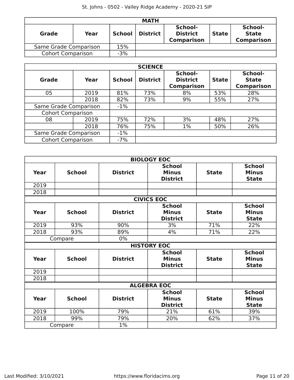| <b>MATH</b>              |      |               |                 |                                                 |              |                                              |  |  |  |
|--------------------------|------|---------------|-----------------|-------------------------------------------------|--------------|----------------------------------------------|--|--|--|
| <b>Grade</b>             | Year | <b>School</b> | <b>District</b> | School-<br><b>District</b><br><b>Comparison</b> | <b>State</b> | School-<br><b>State</b><br><b>Comparison</b> |  |  |  |
| Same Grade Comparison    |      | 15%           |                 |                                                 |              |                                              |  |  |  |
| <b>Cohort Comparison</b> |      | $-3%$         |                 |                                                 |              |                                              |  |  |  |

|                          | <b>SCIENCE</b> |               |                 |                                                 |              |                                              |  |  |  |  |  |  |
|--------------------------|----------------|---------------|-----------------|-------------------------------------------------|--------------|----------------------------------------------|--|--|--|--|--|--|
| Grade                    | Year           | <b>School</b> | <b>District</b> | School-<br><b>District</b><br><b>Comparison</b> | <b>State</b> | School-<br><b>State</b><br><b>Comparison</b> |  |  |  |  |  |  |
| 05                       | 2019           | 81%           | 73%             | 8%                                              | 53%          | 28%                                          |  |  |  |  |  |  |
|                          | 2018           | 82%           | 73%             | 9%                                              | 55%          | 27%                                          |  |  |  |  |  |  |
| Same Grade Comparison    |                | $-1\%$        |                 |                                                 |              |                                              |  |  |  |  |  |  |
| <b>Cohort Comparison</b> |                |               |                 |                                                 |              |                                              |  |  |  |  |  |  |
| 08                       | 2019           | 75%           | 72%             | 3%                                              | 48%          | 27%                                          |  |  |  |  |  |  |
|                          | 2018           | 76%           | 75%             | $1\%$                                           | 50%          | 26%                                          |  |  |  |  |  |  |
| Same Grade Comparison    | $-1\%$         |               |                 |                                                 |              |                                              |  |  |  |  |  |  |
| <b>Cohort Comparison</b> |                | $-7%$         |                 |                                                 |              |                                              |  |  |  |  |  |  |

|                   |               |                 | <b>BIOLOGY EOC</b>                               |              |                                               |  |  |  |  |  |
|-------------------|---------------|-----------------|--------------------------------------------------|--------------|-----------------------------------------------|--|--|--|--|--|
| Year              | <b>School</b> | <b>District</b> | <b>School</b><br><b>Minus</b><br><b>District</b> | <b>State</b> | <b>School</b><br><b>Minus</b><br><b>State</b> |  |  |  |  |  |
| 2019              |               |                 |                                                  |              |                                               |  |  |  |  |  |
| 2018              |               |                 |                                                  |              |                                               |  |  |  |  |  |
| <b>CIVICS EOC</b> |               |                 |                                                  |              |                                               |  |  |  |  |  |
| Year              | <b>School</b> | <b>District</b> | <b>School</b><br><b>Minus</b><br><b>District</b> | <b>State</b> | <b>School</b><br><b>Minus</b><br><b>State</b> |  |  |  |  |  |
| 2019              | 93%           | 90%             | 3%                                               | 71%          | 22%                                           |  |  |  |  |  |
| 2018              | 93%           | 89%             | 4%                                               | 71%          | 22%                                           |  |  |  |  |  |
|                   | Compare       | $0\%$           |                                                  |              |                                               |  |  |  |  |  |
|                   |               |                 | <b>HISTORY EOC</b>                               |              |                                               |  |  |  |  |  |
| Year              | <b>School</b> | <b>District</b> | <b>School</b><br><b>Minus</b><br><b>District</b> | <b>State</b> | <b>School</b><br><b>Minus</b><br><b>State</b> |  |  |  |  |  |
| 2019              |               |                 |                                                  |              |                                               |  |  |  |  |  |
| 2018              |               |                 |                                                  |              |                                               |  |  |  |  |  |
|                   |               |                 | <b>ALGEBRA EOC</b>                               |              |                                               |  |  |  |  |  |
| <b>Year</b>       | <b>School</b> | <b>District</b> | <b>School</b><br><b>Minus</b><br><b>District</b> | <b>State</b> | <b>School</b><br><b>Minus</b><br><b>State</b> |  |  |  |  |  |
| 2019              | 100%          | 79%             | 21%                                              | 61%          | 39%                                           |  |  |  |  |  |
| 2018              | 99%           | 79%             | 20%                                              | 62%          | 37%                                           |  |  |  |  |  |
|                   | Compare       | 1%              |                                                  |              |                                               |  |  |  |  |  |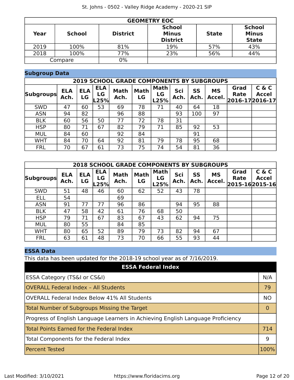|      | <b>GEOMETRY EOC</b> |                 |                                                  |              |                                               |  |  |  |  |  |  |
|------|---------------------|-----------------|--------------------------------------------------|--------------|-----------------------------------------------|--|--|--|--|--|--|
| Year | <b>School</b>       | <b>District</b> | <b>School</b><br><b>Minus</b><br><b>District</b> | <b>State</b> | <b>School</b><br><b>Minus</b><br><b>State</b> |  |  |  |  |  |  |
| 2019 | 100%                | 81%             | 19%                                              | 57%          | 43%                                           |  |  |  |  |  |  |
| 2018 | 100%                | 77%             | 23%                                              | 56%          | 44%                                           |  |  |  |  |  |  |
|      | Compare             | $0\%$           |                                                  |              |                                               |  |  |  |  |  |  |

#### **Subgroup Data**

| <b>2019 SCHOOL GRADE COMPONENTS BY SUBGROUPS</b> |                    |                  |                          |                     |                   |                           |             |            |                     |              |                                          |
|--------------------------------------------------|--------------------|------------------|--------------------------|---------------------|-------------------|---------------------------|-------------|------------|---------------------|--------------|------------------------------------------|
| <b>Subgroups</b>                                 | <b>ELA</b><br>Ach. | <b>ELA</b><br>LG | <b>ELA</b><br>LG<br>L25% | <b>Math</b><br>Ach. | <b>Math</b><br>LG | <b>Math</b><br>LG<br>L25% | Sci<br>Ach. | SS<br>Ach. | <b>MS</b><br>Accel. | Grad<br>Rate | C & C<br><b>Accel</b><br>2016-17 2016-17 |
| <b>SWD</b>                                       | 47                 | 60               | 53                       | 69                  | 78                | 71                        | 40          | 64         | 18                  |              |                                          |
| <b>ASN</b>                                       | 94                 | 82               |                          | 96                  | 88                |                           | 93          | 100        | 97                  |              |                                          |
| <b>BLK</b>                                       | 60                 | 56               | 50                       | 77                  | 72                | 78                        | 31          |            |                     |              |                                          |
| <b>HSP</b>                                       | 80                 | 71               | 67                       | 82                  | 79                | 71                        | 85          | 92         | 53                  |              |                                          |
| <b>MUL</b>                                       | 84                 | 60               |                          | 92                  | 84                |                           |             | 91         |                     |              |                                          |
| <b>WHT</b>                                       | 84                 | 70               | 64                       | 92                  | 81                | 79                        | 78          | 95         | 68                  |              |                                          |
| <b>FRL</b>                                       | 70                 | 67               | 61                       | 73                  | 75                | 74                        | 54          | 81         | 36                  |              |                                          |

| <b>2018 SCHOOL GRADE COMPONENTS BY SUBGROUPS</b> |                    |                  |                          |                     |                   |                           |             |            |                     |              |                                         |
|--------------------------------------------------|--------------------|------------------|--------------------------|---------------------|-------------------|---------------------------|-------------|------------|---------------------|--------------|-----------------------------------------|
| <b>Subgroups</b>                                 | <b>ELA</b><br>Ach. | <b>ELA</b><br>LG | <b>ELA</b><br>LG<br>L25% | <b>Math</b><br>Ach. | <b>Math</b><br>LG | <b>Math</b><br>LG<br>L25% | Sci<br>Ach. | SS<br>Ach. | <b>MS</b><br>Accel. | Grad<br>Rate | C & C<br><b>Accel</b><br>2015-162015-16 |
| <b>SWD</b>                                       | 51                 | 48               | 46                       | 60                  | 62                | 52                        | 43          | 78         |                     |              |                                         |
| <b>ELL</b>                                       | 54                 |                  |                          | 69                  |                   |                           |             |            |                     |              |                                         |
| <b>ASN</b>                                       | 91                 | 77               | 77                       | 96                  | 86                |                           | 94          | 95         | 88                  |              |                                         |
| <b>BLK</b>                                       | 47                 | 58               | 42                       | 61                  | 76                | 68                        | 50          |            |                     |              |                                         |
| <b>HSP</b>                                       | 79                 | 71               | 67                       | 83                  | 67                | 43                        | 62          | 94         | 75                  |              |                                         |
| <b>MUL</b>                                       | 80                 | 55               |                          | 84                  | 85                |                           |             |            |                     |              |                                         |
| <b>WHT</b>                                       | 80                 | 65               | 52                       | 89                  | 79                | 73                        | 82          | 94         | 67                  |              |                                         |
| <b>FRL</b>                                       | 63                 | 61               | 48                       | 73                  | 70                | 66                        | 55          | 93         | 44                  |              |                                         |

#### **ESSA Data**

This data has been updated for the 2018-19 school year as of 7/16/2019.

| <b>ESSA Federal Index</b>                                                       |                |
|---------------------------------------------------------------------------------|----------------|
| ESSA Category (TS&I or CS&I)                                                    | N/A            |
| <b>OVERALL Federal Index - All Students</b>                                     | 79             |
| <b>OVERALL Federal Index Below 41% All Students</b>                             | <b>NO</b>      |
| Total Number of Subgroups Missing the Target                                    | $\overline{0}$ |
| Progress of English Language Learners in Achieving English Language Proficiency |                |
| <b>Total Points Earned for the Federal Index</b>                                | 714            |
| Total Components for the Federal Index                                          | 9              |
| <b>Percent Tested</b>                                                           | 100%           |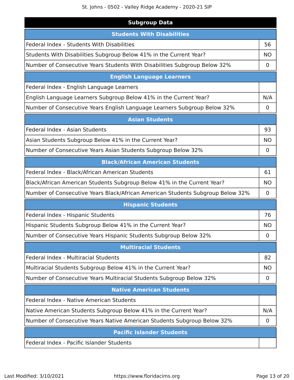| <b>Subgroup Data</b>                                                           |             |
|--------------------------------------------------------------------------------|-------------|
| <b>Students With Disabilities</b>                                              |             |
| Federal Index - Students With Disabilities                                     | 56          |
| Students With Disabilities Subgroup Below 41% in the Current Year?             | <b>NO</b>   |
| Number of Consecutive Years Students With Disabilities Subgroup Below 32%      | 0           |
| <b>English Language Learners</b>                                               |             |
| Federal Index - English Language Learners                                      |             |
| English Language Learners Subgroup Below 41% in the Current Year?              | N/A         |
| Number of Consecutive Years English Language Learners Subgroup Below 32%       | $\mathbf 0$ |
| <b>Asian Students</b>                                                          |             |
| Federal Index - Asian Students                                                 | 93          |
| Asian Students Subgroup Below 41% in the Current Year?                         | <b>NO</b>   |
| Number of Consecutive Years Asian Students Subgroup Below 32%                  | 0           |
| <b>Black/African American Students</b>                                         |             |
| Federal Index - Black/African American Students                                | 61          |
| Black/African American Students Subgroup Below 41% in the Current Year?        | <b>NO</b>   |
| Number of Consecutive Years Black/African American Students Subgroup Below 32% | 0           |
| <b>Hispanic Students</b>                                                       |             |
| Federal Index - Hispanic Students                                              | 76          |
| Hispanic Students Subgroup Below 41% in the Current Year?                      | NO.         |
| Number of Consecutive Years Hispanic Students Subgroup Below 32%               | 0           |
| <b>Multiracial Students</b>                                                    |             |
| Federal Index - Multiracial Students                                           | 82          |
| Multiracial Students Subgroup Below 41% in the Current Year?                   | <b>NO</b>   |
| Number of Consecutive Years Multiracial Students Subgroup Below 32%            | 0           |
| <b>Native American Students</b>                                                |             |
| Federal Index - Native American Students                                       |             |
| Native American Students Subgroup Below 41% in the Current Year?               | N/A         |
| Number of Consecutive Years Native American Students Subgroup Below 32%        | 0           |
| <b>Pacific Islander Students</b>                                               |             |
| Federal Index - Pacific Islander Students                                      |             |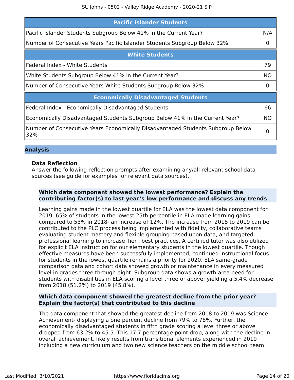| <b>Pacific Islander Students</b>                                                      |           |  |  |  |
|---------------------------------------------------------------------------------------|-----------|--|--|--|
| Pacific Islander Students Subgroup Below 41% in the Current Year?                     | N/A       |  |  |  |
| Number of Consecutive Years Pacific Islander Students Subgroup Below 32%              |           |  |  |  |
| <b>White Students</b>                                                                 |           |  |  |  |
| Federal Index - White Students                                                        | 79        |  |  |  |
| White Students Subgroup Below 41% in the Current Year?                                |           |  |  |  |
| Number of Consecutive Years White Students Subgroup Below 32%                         |           |  |  |  |
| <b>Economically Disadvantaged Students</b>                                            |           |  |  |  |
| Federal Index - Economically Disadvantaged Students                                   | 66        |  |  |  |
| Economically Disadvantaged Students Subgroup Below 41% in the Current Year?           | <b>NO</b> |  |  |  |
| Number of Consecutive Years Economically Disadvantaged Students Subgroup Below<br>32% | 0         |  |  |  |

#### **Analysis**

#### **Data Reflection**

Answer the following reflection prompts after examining any/all relevant school data sources (see guide for examples for relevant data sources).

#### **Which data component showed the lowest performance? Explain the contributing factor(s) to last year's low performance and discuss any trends**

Learning gains made in the lowest quartile for ELA was the lowest data component for 2019. 65% of students in the lowest 25th percentile in ELA made learning gains compared to 53% in 2018- an increase of 12%. The increase from 2018 to 2019 can be contributed to the PLC process being implemented with fidelity, collaborative teams evaluating student mastery and flexible grouping based upon data, and targeted professional learning to increase Tier I best practices. A certified tutor was also utilized for explicit ELA instruction for our elementary students in the lowest quartile. Though effective measures have been successfully implemented, continued instructional focus for students in the lowest quartile remains a priority for 2020. ELA same-grade comparison data and cohort data showed growth or maintenance in every measured level in grades three through eight. Subgroup data shows a growth area need for students with disabilities in ELA scoring a level three or above; yielding a 5.4% decrease from 2018 (51.2%) to 2019 (45.8%).

#### **Which data component showed the greatest decline from the prior year? Explain the factor(s) that contributed to this decline**

The data component that showed the greatest decline from 2018 to 2019 was Science Achievement- displaying a one percent decline from 79% to 78%. Further, the economically disadvantaged students in fifth grade scoring a level three or above dropped from 63.2% to 45.5. This 17.7 percentage point drop, along with the decline in overall achievement, likely results from transitional elements experienced in 2019 including a new curriculum and two new science teachers on the middle school team.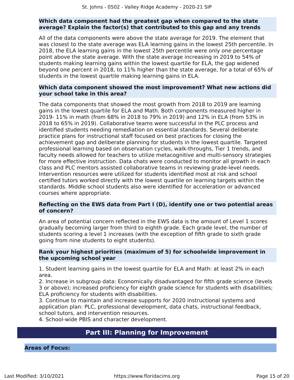#### **Which data component had the greatest gap when compared to the state average? Explain the factor(s) that contributed to this gap and any trends**

All of the data components were above the state average for 2019. The element that was closest to the state average was ELA learning gains in the lowest 25th percentile. In 2018, the ELA learning gains in the lowest 25th percentile were only one percentage point above the state average. With the state average increasing in 2019 to 54% of students making learning gains within the lowest quartile for ELA, the gap widened beyond one percent in 2018, to 11% higher than the state average, for a total of 65% of students in the lowest quartile making learning gains in ELA.

#### **Which data component showed the most improvement? What new actions did your school take in this area?**

The data components that showed the most growth from 2018 to 2019 are learning gains in the lowest quartile for ELA and Math. Both components measured higher in 2019- 11% in math (from 68% in 2018 to 79% in 2019) and 12% in ELA (from 53% in 2018 to 65% in 2019). Collaborative teams were successful in the PLC process and identified students needing remediation on essential standards. Several deliberate practice plans for instructional staff focused on best practices for closing the achievement gap and deliberate planning for students in the lowest quartile. Targeted professional learning based on observation cycles, walk-throughs, Tier 1 trends, and faculty needs allowed for teachers to utilize metacognitive and multi-sensory strategies for more effective instruction. Data chats were conducted to monitor all growth in each class and PLC mentors assisted collaborative teams in reviewing grade-level needs. Intervention resources were utilized for students identified most at risk and school certified tutors worked directly with the lowest quartile on learning targets within the standards. Middle school students also were identified for acceleration or advanced courses where appropriate.

#### **Reflecting on the EWS data from Part I (D), identify one or two potential areas of concern?**

An area of potential concern reflected in the EWS data is the amount of Level 1 scores gradually becoming larger from third to eighth grade. Each grade level, the number of students scoring a level 1 increases (with the exception of fifth grade to sixth grade going from nine students to eight students).

#### **Rank your highest priorities (maximum of 5) for schoolwide improvement in the upcoming school year**

1. Student learning gains in the lowest quartile for ELA and Math: at least 2% in each area.

2. Increase in subgroup data: Economically disadvantaged for fifth grade science (levels 3 or above); increased proficiency for eighth grade science for students with disabilities; ELA proficiency for students with disabilities.

3. Continue to maintain and increase supports for 2020 instructional systems and application plan: PLC, professional development, data chats, instructional feedback, school tutors, and intervention resources.

4. School-wide PBIS and character development.

## **Part III: Planning for Improvement**

<span id="page-14-0"></span>**Areas of Focus:**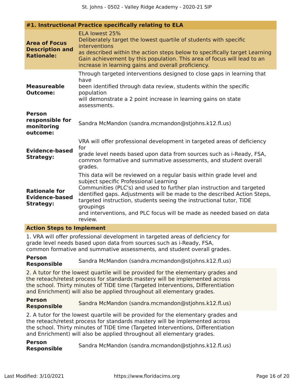|                                                                                                                                                                                                                                                                                                                                | #1. Instructional Practice specifically relating to ELA                                                                                                                                                                                                                                                                                                                                                                                     |  |  |
|--------------------------------------------------------------------------------------------------------------------------------------------------------------------------------------------------------------------------------------------------------------------------------------------------------------------------------|---------------------------------------------------------------------------------------------------------------------------------------------------------------------------------------------------------------------------------------------------------------------------------------------------------------------------------------------------------------------------------------------------------------------------------------------|--|--|
| <b>Area of Focus</b><br><b>Description and</b><br><b>Rationale:</b>                                                                                                                                                                                                                                                            | ELA lowest 25%<br>Deliberately target the lowest quartile of students with specific<br>interventions<br>as described within the action steps below to specifically target Learning<br>Gain achievement by this population. This area of focus will lead to an<br>increase in learning gains and overall proficiency.                                                                                                                        |  |  |
| <b>Measureable</b><br><b>Outcome:</b>                                                                                                                                                                                                                                                                                          | Through targeted interventions designed to close gaps in learning that<br>have<br>been identified through data review, students within the specific<br>population<br>will demonstrate a 2 point increase in learning gains on state<br>assessments.                                                                                                                                                                                         |  |  |
| <b>Person</b><br>responsible for<br>monitoring<br>outcome:                                                                                                                                                                                                                                                                     | Sandra McMandon (sandra.mcmandon@stjohns.k12.fl.us)                                                                                                                                                                                                                                                                                                                                                                                         |  |  |
| <b>Evidence-based</b><br><b>Strategy:</b>                                                                                                                                                                                                                                                                                      | VRA will offer professional development in targeted areas of deficiency<br>for<br>grade level needs based upon data from sources such as i-Ready, FSA,<br>common formative and summative assessments, and student overall<br>grades.                                                                                                                                                                                                        |  |  |
| <b>Rationale for</b><br><b>Evidence-based</b><br><b>Strategy:</b>                                                                                                                                                                                                                                                              | This data will be reviewed on a regular basis within grade level and<br>subject specific Professional Learning<br>Communities (PLC's) and used to further plan instruction and targeted<br>identified gaps. Adjustments will be made to the described Action Steps,<br>targeted instruction, students seeing the instructional tutor, TIDE<br>groupings<br>and interventions, and PLC focus will be made as needed based on data<br>review. |  |  |
| <b>Action Steps to Implement</b>                                                                                                                                                                                                                                                                                               |                                                                                                                                                                                                                                                                                                                                                                                                                                             |  |  |
|                                                                                                                                                                                                                                                                                                                                | 1. VRA will offer professional development in targeted areas of deficiency for<br>grade level needs based upon data from sources such as i-Ready, FSA,<br>common formative and summative assessments, and student overall grades.                                                                                                                                                                                                           |  |  |
| <b>Person</b><br><b>Responsible</b>                                                                                                                                                                                                                                                                                            | Sandra McMandon (sandra.mcmandon@stjohns.k12.fl.us)                                                                                                                                                                                                                                                                                                                                                                                         |  |  |
| 2. A tutor for the lowest quartile will be provided for the elementary grades and<br>the reteach/retest process for standards mastery will be implemented across<br>the school. Thirty minutes of TIDE time (Targeted Interventions, Differentiation<br>and Enrichment) will also be applied throughout all elementary grades. |                                                                                                                                                                                                                                                                                                                                                                                                                                             |  |  |
| <b>Person</b><br><b>Responsible</b>                                                                                                                                                                                                                                                                                            | Sandra McMandon (sandra.mcmandon@stjohns.k12.fl.us)                                                                                                                                                                                                                                                                                                                                                                                         |  |  |
|                                                                                                                                                                                                                                                                                                                                | 2. A tutor for the lowest quartile will be provided for the elementary grades and<br>the reteach/retest process for standards mastery will be implemented across<br>the school. Thirty minutes of TIDE time (Targeted Interventions, Differentiation<br>and Enrichment) will also be applied throughout all elementary grades.                                                                                                              |  |  |

**Person Responsible** Sandra McMandon (sandra.mcmandon@stjohns.k12.fl.us)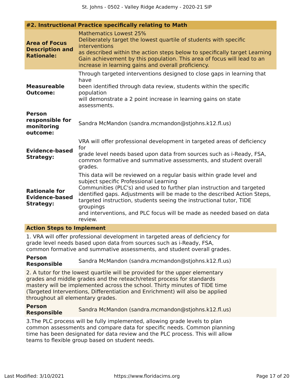|                                                                     | #2. Instructional Practice specifically relating to Math                                                                                                                                                                                                                                                                                                                                                                                    |
|---------------------------------------------------------------------|---------------------------------------------------------------------------------------------------------------------------------------------------------------------------------------------------------------------------------------------------------------------------------------------------------------------------------------------------------------------------------------------------------------------------------------------|
| <b>Area of Focus</b><br><b>Description and</b><br><b>Rationale:</b> | Mathematics Lowest 25%<br>Deliberately target the lowest quartile of students with specific<br>interventions<br>as described within the action steps below to specifically target Learning<br>Gain achievement by this population. This area of focus will lead to an<br>increase in learning gains and overall proficiency.                                                                                                                |
| <b>Measureable</b><br><b>Outcome:</b>                               | Through targeted interventions designed to close gaps in learning that<br>have<br>been identified through data review, students within the specific<br>population<br>will demonstrate a 2 point increase in learning gains on state<br>assessments.                                                                                                                                                                                         |
| <b>Person</b><br>responsible for<br>monitoring<br>outcome:          | Sandra McMandon (sandra.mcmandon@stjohns.k12.fl.us)                                                                                                                                                                                                                                                                                                                                                                                         |
| <b>Evidence-based</b><br><b>Strategy:</b>                           | VRA will offer professional development in targeted areas of deficiency<br>for<br>grade level needs based upon data from sources such as i-Ready, FSA,<br>common formative and summative assessments, and student overall<br>grades.                                                                                                                                                                                                        |
| <b>Rationale for</b><br><b>Evidence-based</b><br><b>Strategy:</b>   | This data will be reviewed on a regular basis within grade level and<br>subject specific Professional Learning<br>Communities (PLC's) and used to further plan instruction and targeted<br>identified gaps. Adjustments will be made to the described Action Steps,<br>targeted instruction, students seeing the instructional tutor, TIDE<br>groupings<br>and interventions, and PLC focus will be made as needed based on data<br>review. |
| <b>Action Steps to Implement</b>                                    |                                                                                                                                                                                                                                                                                                                                                                                                                                             |

1. VRA will offer professional development in targeted areas of deficiency for grade level needs based upon data from sources such as i-Ready, FSA, common formative and summative assessments, and student overall grades.

#### **Person Responsible** Sandra McMandon (sandra.mcmandon@stjohns.k12.fl.us)

2. A tutor for the lowest quartile will be provided for the upper elementary grades and middle grades and the reteach/retest process for standards mastery will be implemented across the school. Thirty minutes of TIDE time (Targeted Interventions, Differentiation and Enrichment) will also be applied throughout all elementary grades.

#### **Person Responsible** Sandra McMandon (sandra.mcmandon@stjohns.k12.fl.us)

3.The PLC process will be fully implemented, allowing grade levels to plan common assessments and compare data for specific needs. Common planning time has been designated for data review and the PLC process. This will allow teams to flexible group based on student needs.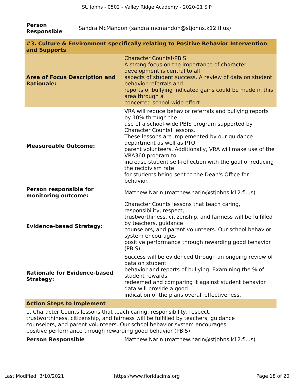| <b>Person</b><br><b>Responsible</b>                       | Sandra McMandon (sandra.mcmandon@stjohns.k12.fl.us)                                                                                                                                                                                                                                                                                                                                                                                                                                 |  |  |  |  |
|-----------------------------------------------------------|-------------------------------------------------------------------------------------------------------------------------------------------------------------------------------------------------------------------------------------------------------------------------------------------------------------------------------------------------------------------------------------------------------------------------------------------------------------------------------------|--|--|--|--|
| and Supports                                              | #3. Culture & Environment specifically relating to Positive Behavior Intervention                                                                                                                                                                                                                                                                                                                                                                                                   |  |  |  |  |
| <b>Area of Focus Description and</b><br><b>Rationale:</b> | <b>Character Counts!/PBIS</b><br>A strong focus on the importance of character<br>development is central to all<br>aspects of student success. A review of data on student<br>behavior referrals and<br>reports of bullying indicated gains could be made in this<br>area through a<br>concerted school-wide effort.                                                                                                                                                                |  |  |  |  |
| <b>Measureable Outcome:</b>                               | VRA will reduce behavior referrals and bullying reports<br>by 10% through the<br>use of a school-wide PBIS program supported by<br>Character Counts! lessons.<br>These lessons are implemented by our guidance<br>department as well as PTO<br>parent volunteers. Additionally, VRA will make use of the<br>VRA360 program to<br>increase student self-reflection with the goal of reducing<br>the recidivism rate<br>for students being sent to the Dean's Office for<br>behavior. |  |  |  |  |
| Person responsible for<br>monitoring outcome:             | Matthew Narin (matthew.narin@stjohns.k12.fl.us)                                                                                                                                                                                                                                                                                                                                                                                                                                     |  |  |  |  |
| <b>Evidence-based Strategy:</b>                           | Character Counts lessons that teach caring,<br>responsibility, respect,<br>trustworthiness, citizenship, and fairness will be fulfilled<br>by teachers, guidance<br>counselors, and parent volunteers. Our school behavior<br>system encourages<br>positive performance through rewarding good behavior<br>(PBIS).                                                                                                                                                                  |  |  |  |  |
| <b>Rationale for Evidence-based</b><br><b>Strategy:</b>   | Success will be evidenced through an ongoing review of<br>data on student<br>behavior and reports of bullying. Examining the % of<br>student rewards<br>redeemed and comparing it against student behavior<br>data will provide a good<br>indication of the plans overall effectiveness.                                                                                                                                                                                            |  |  |  |  |

#### **Action Steps to Implement**

1. Character Counts lessons that teach caring, responsibility, respect, trustworthiness, citizenship, and fairness will be fulfilled by teachers, guidance counselors, and parent volunteers. Our school behavior system encourages positive performance through rewarding good behavior (PBIS).

**Person Responsible** Matthew Narin (matthew.narin@stjohns.k12.fl.us)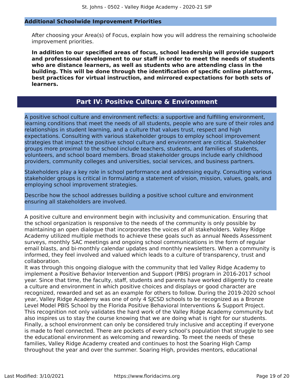#### **Additional Schoolwide Improvement Priorities**

After choosing your Area(s) of Focus, explain how you will address the remaining schoolwide improvement priorities.

**In addition to our specified areas of focus, school leadership will provide support and professional development to our staff in order to meet the needs of students who are distance learners, as well as students who are attending class in the building. This will be done through the identification of specific online platforms, best practices for virtual instruction, and mirrored expectations for both sets of learners.**

#### **Part IV: Positive Culture & Environment**

<span id="page-18-0"></span>A positive school culture and environment reflects: a supportive and fulfilling environment, learning conditions that meet the needs of all students, people who are sure of their roles and relationships in student learning, and a culture that values trust, respect and high expectations. Consulting with various stakeholder groups to employ school improvement strategies that impact the positive school culture and environment are critical. Stakeholder groups more proximal to the school include teachers, students, and families of students, volunteers, and school board members. Broad stakeholder groups include early childhood providers, community colleges and universities, social services, and business partners.

Stakeholders play a key role in school performance and addressing equity. Consulting various stakeholder groups is critical in formulating a statement of vision, mission, values, goals, and employing school improvement strategies.

Describe how the school addresses building a positive school culture and environment ensuring all stakeholders are involved.

A positive culture and environment begin with inclusivity and communication. Ensuring that the school organization is responsive to the needs of the community is only possible by maintaining an open dialogue that incorporates the voices of all stakeholders. Valley Ridge Academy utilized multiple methods to achieve these goals such as annual Needs Assessment surveys, monthly SAC meetings and ongoing school communications in the form of regular email blasts, and bi-monthly calendar updates and monthly newsletters. When a community is informed, they feel involved and valued which leads to a culture of transparency, trust and collaboration.

It was through this ongoing dialogue with the community that led Valley Ridge Academy to implement a Positive Behavior Intervention and Support (PBIS) program in 2016-2017 school year. Since that time, the faculty, staff, students and parents have worked diligently to create a culture and environment in which positive choices and displays or good character are recognized, rewarded and set as an example for others to follow. During the 2019-2020 school year, Valley Ridge Academy was one of only 4 SJCSD schools to be recognized as a Bronze Level Model PBIS School by the Florida Positive Behavioral Interventions & Support Project. This recognition not only validates the hard work of the Valley Ridge Academy community but also inspires us to stay the course knowing that we are doing what is right for our students. Finally, a school environment can only be considered truly inclusive and accepting if everyone is made to feel connected. There are pockets of every school's population that struggle to see the educational environment as welcoming and rewarding. To meet the needs of these families, Valley Ridge Academy created and continues to host the Soaring High Camp throughout the year and over the summer. Soaring High, provides mentors, educational